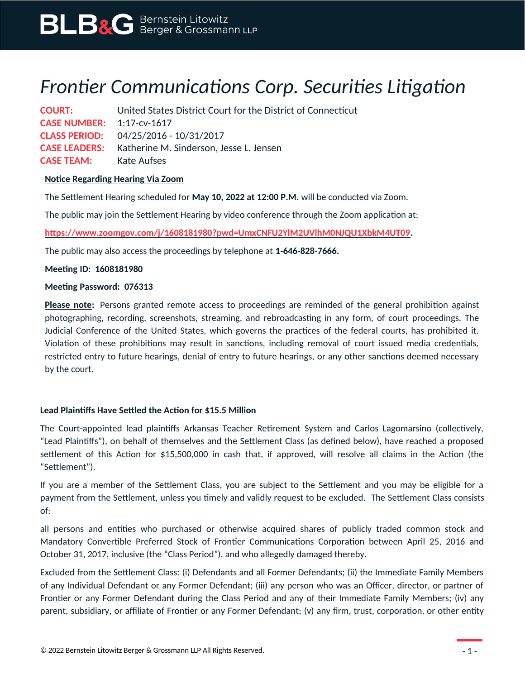# *Frontier Communications Corp. Securities Litigation*

**COURT:** United States District Court for the District of Connecticut **CASE NUMBER:** 1:17-cv-1617 **CLASS PERIOD:** 04/25/2016 - 10/31/2017 **CASE LEADERS:** Katherine M. Sinderson, Jesse L. Jensen **CASE TEAM:** Kate Aufses

# **Notice Regarding Hearing Via Zoom**

The Settlement Hearing scheduled for **May 10, 2022 at 12:00 P.M.** will be conducted via Zoom.

The public may join the Settlement Hearing by video conference through the Zoom application at:

**[https://www.zoomgov.com/j/1608181980?pwd=UmxCNFU2YlM2UVlhM0NJQU1XbkM4UT09.](https://www.zoomgov.com/j/1608181980?pwd=UmxCNFU2YlM2UVlhM0NJQU1XbkM4UT09)**

The public may also access the proceedings by telephone at **1-646-828-7666.**

### **Meeting ID: 1608181980**

#### **Meeting Password: 076313**

**Please note:** Persons granted remote access to proceedings are reminded of the general prohibition against photographing, recording, screenshots, streaming, and rebroadcasting in any form, of court proceedings. The Judicial Conference of the United States, which governs the practices of the federal courts, has prohibited it. Violation of these prohibitions may result in sanctions, including removal of court issued media credentials, restricted entry to future hearings, denial of entry to future hearings, or any other sanctions deemed necessary by the court.

# **Lead Plaintiffs Have Settled the Action for \$15.5 Million**

The Court-appointed lead plaintiffs Arkansas Teacher Retirement System and Carlos Lagomarsino (collectively, "Lead Plaintiffs"), on behalf of themselves and the Settlement Class (as defined below), have reached a proposed settlement of this Action for \$15,500,000 in cash that, if approved, will resolve all claims in the Action (the "Settlement").

If you are a member of the Settlement Class, you are subject to the Settlement and you may be eligible for a payment from the Settlement, unless you timely and validly request to be excluded. The Settlement Class consists of:

all persons and entities who purchased or otherwise acquired shares of publicly traded common stock and Mandatory Convertible Preferred Stock of Frontier Communications Corporation between April 25, 2016 and October 31, 2017, inclusive (the "Class Period"), and who allegedly damaged thereby.

Excluded from the Settlement Class: (i) Defendants and all Former Defendants; (ii) the Immediate Family Members of any Individual Defendant or any Former Defendant; (iii) any person who was an Officer, director, or partner of Frontier or any Former Defendant during the Class Period and any of their Immediate Family Members; (iv) any parent, subsidiary, or affiliate of Frontier or any Former Defendant; (v) any firm, trust, corporation, or other entity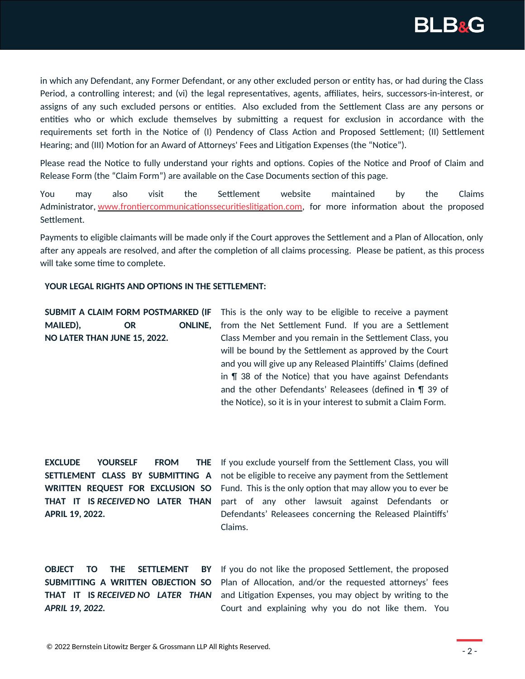

in which any Defendant, any Former Defendant, or any other excluded person or entity has, or had during the Class Period, a controlling interest; and (vi) the legal representatives, agents, affiliates, heirs, successors-in-interest, or assigns of any such excluded persons or entities. Also excluded from the Settlement Class are any persons or entities who or which exclude themselves by submitting a request for exclusion in accordance with the requirements set forth in the Notice of (I) Pendency of Class Action and Proposed Settlement; (II) Settlement Hearing; and (III) Motion for an Award of Attorneys' Fees and Litigation Expenses (the "Notice").

Please read the Notice to fully understand your rights and options. Copies of the Notice and Proof of Claim and Release Form (the "Claim Form") are available on the Case Documents section of this page.

You may also visit the Settlement website maintained by the Claims Administrator, [www.frontiercommunicationssecuritieslitigation.com,](http://www.frontiercommunicationssecuritieslitigation.com/) for more information about the proposed Settlement.

Payments to eligible claimants will be made only if the Court approves the Settlement and a Plan of Allocation, only after any appeals are resolved, and after the completion of all claims processing. Please be patient, as this process will take some time to complete.

#### **YOUR LEGAL RIGHTS AND OPTIONS IN THE SETTLEMENT:**

MAILED), OR **NO LATER THAN JUNE 15, 2022.**

**SUBMIT A CLAIM FORM POSTMARKED (IF** This is the only way to be eligible to receive a payment ONLINE, from the Net Settlement Fund. If you are a Settlement Class Member and you remain in the Settlement Class, you will be bound by the Settlement as approved by the Court and you will give up any Released Plaintiffs' Claims (defined in ¶ 38 of the Notice) that you have against Defendants and the other Defendants' Releasees (defined in ¶ 39 of the Notice), so it is in your interest to submit a Claim Form.

**EXCLUDE YOURSELF FROM SETTLEMENT CLASS BY SUBMITTING A WRITTEN REQUEST FOR EXCLUSION SO THAT IT IS** *RECEIVED* **NO LATER THAN APRIL 19, 2022.**

THE If you exclude yourself from the Settlement Class, you will not be eligible to receive any payment from the Settlement Fund. This is the only option that may allow you to ever be part of any other lawsuit against Defendants or Defendants' Releasees concerning the Released Plaintiffs' Claims.

**OBJECT TO THE SETTLEMENT BY THAT IT IS** *RECEIVED NO LATER THAN APRIL 19, 2022.*

**SUBMITTING A WRITTEN OBJECTION SO** Plan of Allocation, and/or the requested attorneys' fees If you do not like the proposed Settlement, the proposed and Litigation Expenses, you may object by writing to the Court and explaining why you do not like them. You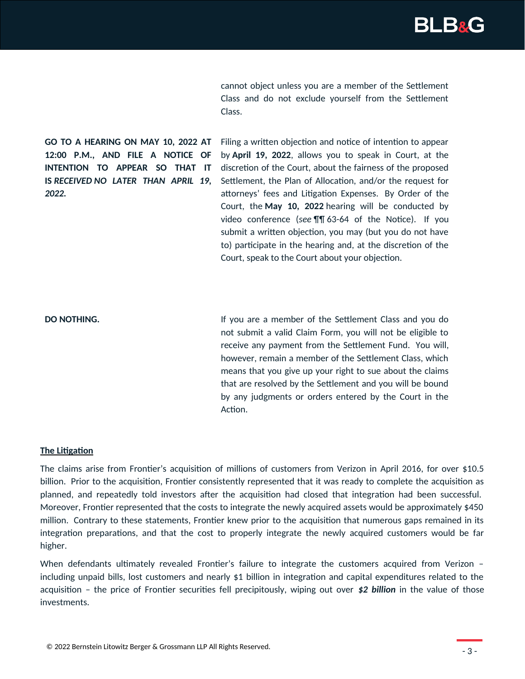

cannot object unless you are a member of the Settlement Class and do not exclude yourself from the Settlement Class.

**GO TO A HEARING ON MAY 10, 2022 AT 12:00 P.M., AND FILE A NOTICE OF INTENTION TO APPEAR SO THAT IT IS** *RECEIVED NO LATER THAN APRIL 19, 2022.*

Filing a written objection and notice of intention to appear by **April 19, 2022**, allows you to speak in Court, at the discretion of the Court, about the fairness of the proposed Settlement, the Plan of Allocation, and/or the request for attorneys' fees and Litigation Expenses. By Order of the Court, the **May 10, 2022** hearing will be conducted by video conference (*see* ¶¶ 63-64 of the Notice). If you submit a written objection, you may (but you do not have to) participate in the hearing and, at the discretion of the Court, speak to the Court about your objection.

**DO NOTHING. If you are a member of the Settlement Class and you do** not submit a valid Claim Form, you will not be eligible to receive any payment from the Settlement Fund. You will, however, remain a member of the Settlement Class, which means that you give up your right to sue about the claims that are resolved by the Settlement and you will be bound by any judgments or orders entered by the Court in the Action.

#### **The Litigation**

The claims arise from Frontier's acquisition of millions of customers from Verizon in April 2016, for over \$10.5 billion. Prior to the acquisition, Frontier consistently represented that it was ready to complete the acquisition as planned, and repeatedly told investors after the acquisition had closed that integration had been successful. Moreover, Frontier represented that the costs to integrate the newly acquired assets would be approximately \$450 million. Contrary to these statements, Frontier knew prior to the acquisition that numerous gaps remained in its integration preparations, and that the cost to properly integrate the newly acquired customers would be far higher.

When defendants ultimately revealed Frontier's failure to integrate the customers acquired from Verizon including unpaid bills, lost customers and nearly \$1 billion in integration and capital expenditures related to the acquisition – the price of Frontier securities fell precipitously, wiping out over *\$2 billion* in the value of those investments.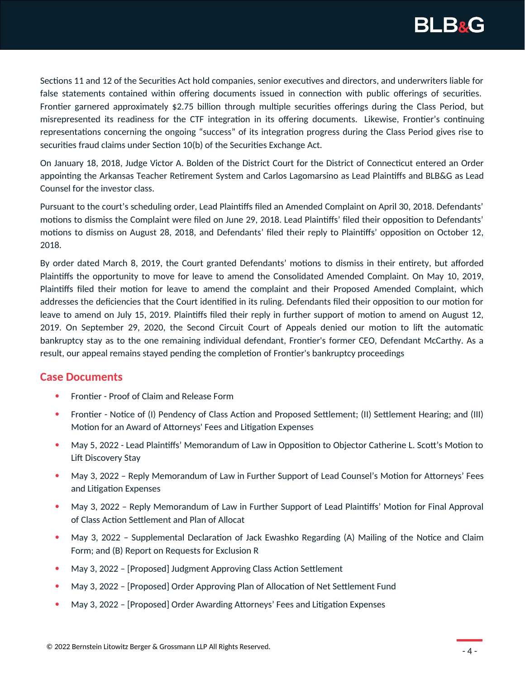

Sections 11 and 12 of the Securities Act hold companies, senior executives and directors, and underwriters liable for false statements contained within offering documents issued in connection with public offerings of securities. Frontier garnered approximately \$2.75 billion through multiple securities offerings during the Class Period, but misrepresented its readiness for the CTF integration in its offering documents. Likewise, Frontier's continuing representations concerning the ongoing "success" of its integration progress during the Class Period gives rise to securities fraud claims under Section 10(b) of the Securities Exchange Act.

On January 18, 2018, Judge Victor A. Bolden of the District Court for the District of Connecticut entered an Order appointing the Arkansas Teacher Retirement System and Carlos Lagomarsino as Lead Plaintiffs and BLB&G as Lead Counsel for the investor class.

Pursuant to the court's scheduling order, Lead Plaintiffs filed an Amended Complaint on April 30, 2018. Defendants' motions to dismiss the Complaint were filed on June 29, 2018. Lead Plaintiffs' filed their opposition to Defendants' motions to dismiss on August 28, 2018, and Defendants' filed their reply to Plaintiffs' opposition on October 12, 2018.

By order dated March 8, 2019, the Court granted Defendants' motions to dismiss in their entirety, but afforded Plaintiffs the opportunity to move for leave to amend the Consolidated Amended Complaint. On May 10, 2019, Plaintiffs filed their motion for leave to amend the complaint and their Proposed Amended Complaint, which addresses the deficiencies that the Court identified in its ruling. Defendants filed their opposition to our motion for leave to amend on July 15, 2019. Plaintiffs filed their reply in further support of motion to amend on August 12, 2019. On September 29, 2020, the Second Circuit Court of Appeals denied our motion to lift the automatic bankruptcy stay as to the one remaining individual defendant, Frontier's former CEO, Defendant McCarthy. As a result, our appeal remains stayed pending the completion of Frontier's bankruptcy proceedings

# **Case Documents**

- Frontier Proof of Claim and Release Form
- Frontier Notice of (I) Pendency of Class Action and Proposed Settlement; (II) Settlement Hearing; and (III) Motion for an Award of Attorneys' Fees and Litigation Expenses
- May 5, 2022 Lead Plaintiffs' Memorandum of Law in Opposition to Objector Catherine L. Scott's Motion to Lift Discovery Stay
- May 3, 2022 Reply Memorandum of Law in Further Support of Lead Counsel's Motion for Attorneys' Fees and Litigation Expenses
- May 3, 2022 Reply Memorandum of Law in Further Support of Lead Plaintiffs' Motion for Final Approval of Class Action Settlement and Plan of Allocat
- May 3, 2022 Supplemental Declaration of Jack Ewashko Regarding (A) Mailing of the Notice and Claim Form; and (B) Report on Requests for Exclusion R
- May 3, 2022 [Proposed] Judgment Approving Class Action Settlement
- May 3, 2022 [Proposed] Order Approving Plan of Allocation of Net Settlement Fund
- May 3, 2022 [Proposed] Order Awarding Attorneys' Fees and Litigation Expenses